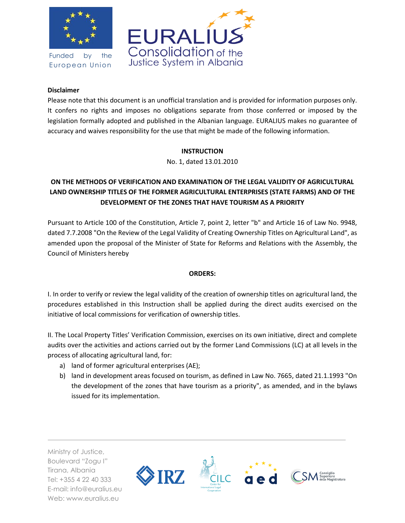

Funded by the European Union



#### **Disclaimer**

Please note that this document is an unofficial translation and is provided for information purposes only. It confers no rights and imposes no obligations separate from those conferred or imposed by the legislation formally adopted and published in the Albanian language. EURALIUS makes no guarantee of accuracy and waives responsibility for the use that might be made of the following information.

## **INSTRUCTION**

No. 1, dated 13.01.2010

# **ON THE METHODS OF VERIFICATION AND EXAMINATION OF THE LEGAL VALIDITY OF AGRICULTURAL LAND OWNERSHIP TITLES OF THE FORMER AGRICULTURAL ENTERPRISES (STATE FARMS) AND OF THE DEVELOPMENT OF THE ZONES THAT HAVE TOURISM AS A PRIORITY**

Pursuant to Article 100 of the Constitution, Article 7, point 2, letter "b" and Article 16 of Law No. 9948, dated 7.7.2008 "On the Review of the Legal Validity of Creating Ownership Titles on Agricultural Land", as amended upon the proposal of the Minister of State for Reforms and Relations with the Assembly, the Council of Ministers hereby

## **ORDERS:**

I. In order to verify or review the legal validity of the creation of ownership titles on agricultural land, the procedures established in this Instruction shall be applied during the direct audits exercised on the initiative of local commissions for verification of ownership titles.

II. The Local Property Titles' Verification Commission, exercises on its own initiative, direct and complete audits over the activities and actions carried out by the former Land Commissions (LC) at all levels in the process of allocating agricultural land, for:

- a) land of former agricultural enterprises (AE);
- b) land in development areas focused on tourism, as defined in Law No. 7665, dated 21.1.1993 "On the development of the zones that have tourism as a priority", as amended, and in the bylaws issued for its implementation.

Ministry of Justice, Boulevard "Zogu I" Tirana, Albania Tel: +355 4 22 40 333 E-mail: info@euralius.eu Web: www.euralius.eu

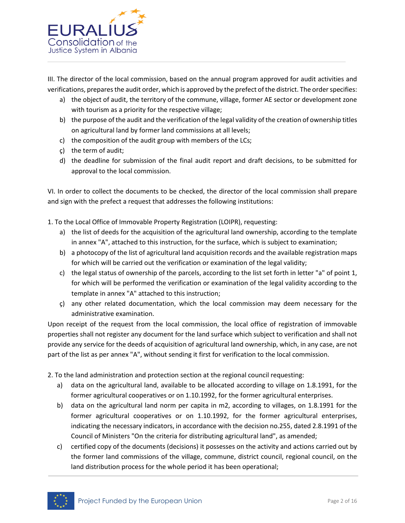

III. The director of the local commission, based on the annual program approved for audit activities and verifications, prepares the audit order, which is approved by the prefect of the district. The order specifies:

- a) the object of audit, the territory of the commune, village, former AE sector or development zone with tourism as a priority for the respective village;
- b) the purpose of the audit and the verification of the legal validity of the creation of ownership titles on agricultural land by former land commissions at all levels;
- c) the composition of the audit group with members of the LCs;
- ç) the term of audit;
- d) the deadline for submission of the final audit report and draft decisions, to be submitted for approval to the local commission.

VI. In order to collect the documents to be checked, the director of the local commission shall prepare and sign with the prefect a request that addresses the following institutions:

- 1. To the Local Office of Immovable Property Registration (LOIPR), requesting:
	- a) the list of deeds for the acquisition of the agricultural land ownership, according to the template in annex "A", attached to this instruction, for the surface, which is subject to examination;
	- b) a photocopy of the list of agricultural land acquisition records and the available registration maps for which will be carried out the verification or examination of the legal validity;
	- c) the legal status of ownership of the parcels, according to the list set forth in letter "a" of point 1, for which will be performed the verification or examination of the legal validity according to the template in annex "A" attached to this instruction;
	- ç) any other related documentation, which the local commission may deem necessary for the administrative examination.

Upon receipt of the request from the local commission, the local office of registration of immovable properties shall not register any document for the land surface which subject to verification and shall not provide any service for the deeds of acquisition of agricultural land ownership, which, in any case, are not part of the list as per annex "A", without sending it first for verification to the local commission.

2. To the land administration and protection section at the regional council requesting:

- a) data on the agricultural land, available to be allocated according to village on 1.8.1991, for the former agricultural cooperatives or on 1.10.1992, for the former agricultural enterprises.
- b) data on the agricultural land norm per capita in m2, according to villages, on 1.8.1991 for the former agricultural cooperatives or on 1.10.1992, for the former agricultural enterprises, indicating the necessary indicators, in accordance with the decision no.255, dated 2.8.1991 of the Council of Ministers "On the criteria for distributing agricultural land", as amended;
- c) certified copy of the documents (decisions) it possesses on the activity and actions carried out by the former land commissions of the village, commune, district council, regional council, on the land distribution process for the whole period it has been operational;

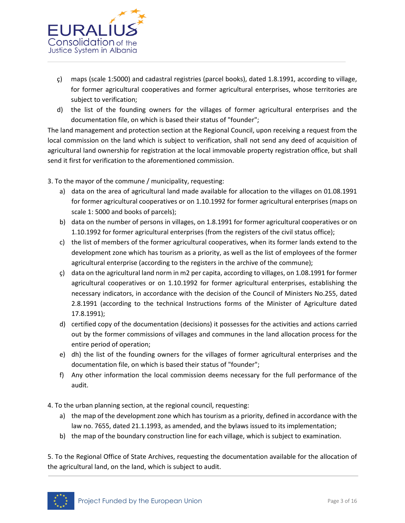

- ç) maps (scale 1:5000) and cadastral registries (parcel books), dated 1.8.1991, according to village, for former agricultural cooperatives and former agricultural enterprises, whose territories are subject to verification;
- d) the list of the founding owners for the villages of former agricultural enterprises and the documentation file, on which is based their status of "founder";

The land management and protection section at the Regional Council, upon receiving a request from the local commission on the land which is subject to verification, shall not send any deed of acquisition of agricultural land ownership for registration at the local immovable property registration office, but shall send it first for verification to the aforementioned commission.

3. To the mayor of the commune / municipality, requesting:

- a) data on the area of agricultural land made available for allocation to the villages on 01.08.1991 for former agricultural cooperatives or on 1.10.1992 for former agricultural enterprises (maps on scale 1: 5000 and books of parcels);
- b) data on the number of persons in villages, on 1.8.1991 for former agricultural cooperatives or on 1.10.1992 for former agricultural enterprises (from the registers of the civil status office);
- c) the list of members of the former agricultural cooperatives, when its former lands extend to the development zone which has tourism as a priority, as well as the list of employees of the former agricultural enterprise (according to the registers in the archive of the commune);
- ç) data on the agricultural land norm in m2 per capita, according to villages, on 1.08.1991 for former agricultural cooperatives or on 1.10.1992 for former agricultural enterprises, establishing the necessary indicators, in accordance with the decision of the Council of Ministers No.255, dated 2.8.1991 (according to the technical Instructions forms of the Minister of Agriculture dated 17.8.1991);
- d) certified copy of the documentation (decisions) it possesses for the activities and actions carried out by the former commissions of villages and communes in the land allocation process for the entire period of operation;
- e) dh) the list of the founding owners for the villages of former agricultural enterprises and the documentation file, on which is based their status of "founder";
- f) Any other information the local commission deems necessary for the full performance of the audit.

4. To the urban planning section, at the regional council, requesting:

- a) the map of the development zone which has tourism as a priority, defined in accordance with the law no. 7655, dated 21.1.1993, as amended, and the bylaws issued to its implementation;
- b) the map of the boundary construction line for each village, which is subject to examination.

5. To the Regional Office of State Archives, requesting the documentation available for the allocation of the agricultural land, on the land, which is subject to audit.

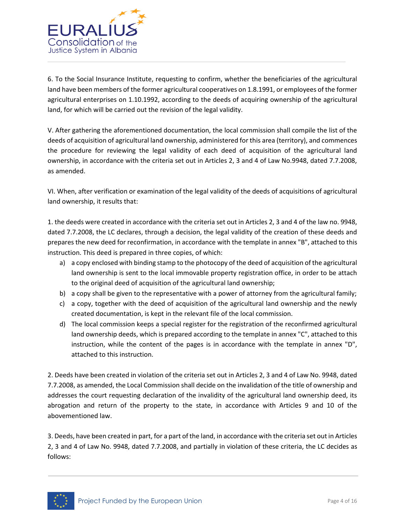

6. To the Social Insurance Institute, requesting to confirm, whether the beneficiaries of the agricultural land have been members of the former agricultural cooperatives on 1.8.1991, or employees of the former agricultural enterprises on 1.10.1992, according to the deeds of acquiring ownership of the agricultural land, for which will be carried out the revision of the legal validity.

V. After gathering the aforementioned documentation, the local commission shall compile the list of the deeds of acquisition of agricultural land ownership, administered for this area (territory), and commences the procedure for reviewing the legal validity of each deed of acquisition of the agricultural land ownership, in accordance with the criteria set out in Articles 2, 3 and 4 of Law No.9948, dated 7.7.2008, as amended.

VI. When, after verification or examination of the legal validity of the deeds of acquisitions of agricultural land ownership, it results that:

1. the deeds were created in accordance with the criteria set out in Articles 2, 3 and 4 of the law no. 9948, dated 7.7.2008, the LC declares, through a decision, the legal validity of the creation of these deeds and prepares the new deed for reconfirmation, in accordance with the template in annex "B", attached to this instruction. This deed is prepared in three copies, of which:

- a) a copy enclosed with binding stamp to the photocopy of the deed of acquisition of the agricultural land ownership is sent to the local immovable property registration office, in order to be attach to the original deed of acquisition of the agricultural land ownership;
- b) a copy shall be given to the representative with a power of attorney from the agricultural family;
- c) a copy, together with the deed of acquisition of the agricultural land ownership and the newly created documentation, is kept in the relevant file of the local commission.
- d) The local commission keeps a special register for the registration of the reconfirmed agricultural land ownership deeds, which is prepared according to the template in annex "C", attached to this instruction, while the content of the pages is in accordance with the template in annex "D", attached to this instruction.

2. Deeds have been created in violation of the criteria set out in Articles 2, 3 and 4 of Law No. 9948, dated 7.7.2008, as amended, the Local Commission shall decide on the invalidation of the title of ownership and addresses the court requesting declaration of the invalidity of the agricultural land ownership deed, its abrogation and return of the property to the state, in accordance with Articles 9 and 10 of the abovementioned law.

3. Deeds, have been created in part, for a part of the land, in accordance with the criteria set out in Articles 2, 3 and 4 of Law No. 9948, dated 7.7.2008, and partially in violation of these criteria, the LC decides as follows:

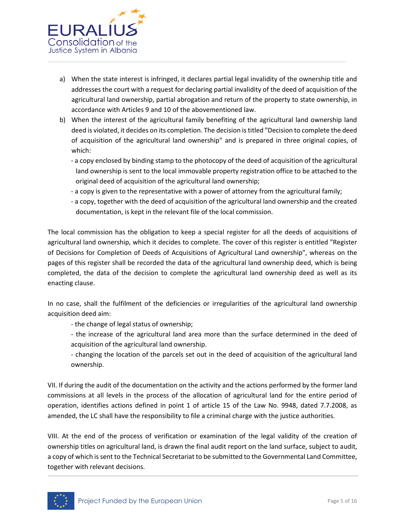

- a) When the state interest is infringed, it declares partial legal invalidity of the ownership title and addresses the court with a request for declaring partial invalidity of the deed of acquisition of the agricultural land ownership, partial abrogation and return of the property to state ownership, in accordance with Articles 9 and 10 of the abovementioned law.
- b) When the interest of the agricultural family benefiting of the agricultural land ownership land deed is violated, it decides on its completion. The decision is titled "Decision to complete the deed of acquisition of the agricultural land ownership" and is prepared in three original copies, of which:
	- a copy enclosed by binding stamp to the photocopy of the deed of acquisition of the agricultural land ownership is sent to the local immovable property registration office to be attached to the original deed of acquisition of the agricultural land ownership;
	- a copy is given to the representative with a power of attorney from the agricultural family;
	- a copy, together with the deed of acquisition of the agricultural land ownership and the created documentation, is kept in the relevant file of the local commission.

The local commission has the obligation to keep a special register for all the deeds of acquisitions of agricultural land ownership, which it decides to complete. The cover of this register is entitled "Register of Decisions for Completion of Deeds of Acquisitions of Agricultural Land ownership", whereas on the pages of this register shall be recorded the data of the agricultural land ownership deed, which is being completed, the data of the decision to complete the agricultural land ownership deed as well as its enacting clause.

In no case, shall the fulfilment of the deficiencies or irregularities of the agricultural land ownership acquisition deed aim:

- the change of legal status of ownership;

- the increase of the agricultural land area more than the surface determined in the deed of acquisition of the agricultural land ownership.

- changing the location of the parcels set out in the deed of acquisition of the agricultural land ownership.

VII. If during the audit of the documentation on the activity and the actions performed by the former land commissions at all levels in the process of the allocation of agricultural land for the entire period of operation, identifies actions defined in point 1 of article 15 of the Law No. 9948, dated 7.7.2008, as amended, the LC shall have the responsibility to file a criminal charge with the justice authorities.

VIII. At the end of the process of verification or examination of the legal validity of the creation of ownership titles on agricultural land, is drawn the final audit report on the land surface, subject to audit, a copy of which is sent to the Technical Secretariat to be submitted to the Governmental Land Committee, together with relevant decisions.

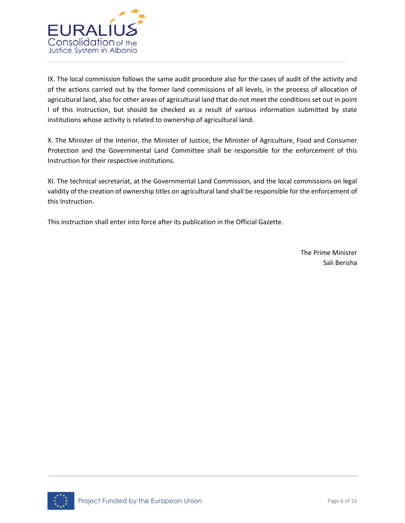

IX. The local commission follows the same audit procedure also for the cases of audit of the activity and of the actions carried out by the former land commissions of all levels, in the process of allocation of agricultural land, also for other areas of agricultural land that do not meet the conditions set out in point I of this Instruction, but should be checked as a result of various information submitted by state institutions whose activity is related to ownership of agricultural land.

X. The Minister of the Interior, the Minister of Justice, the Minister of Agriculture, Food and Consumer Protection and the Governmental Land Committee shall be responsible for the enforcement of this Instruction for their respective institutions.

XI. The technical secretariat, at the Governmental Land Commission, and the local commissions on legal validity of the creation of ownership titles on agricultural land shall be responsible for the enforcement of this Instruction.

This instruction shall enter into force after its publication in the Official Gazette.

The Prime Minister Sali Berisha

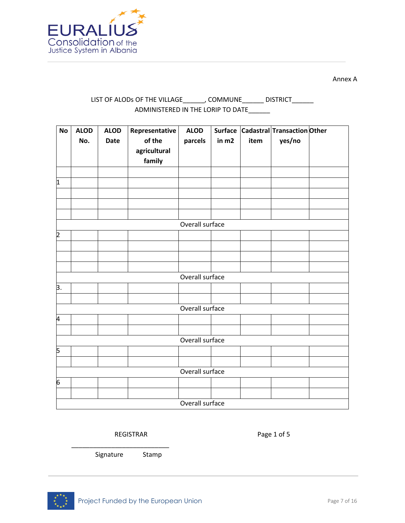

Annex A

## LIST OF ALODs OF THE VILLAGE\_\_\_\_\_\_\_, COMMUNE\_\_\_\_\_\_\_ DISTRICT\_\_\_\_\_\_\_ ADMINISTERED IN THE LORIP TO DATE\_\_\_\_\_\_

| <b>No</b>        | <b>ALOD</b><br>No. | <b>ALOD</b><br><b>Date</b> | Representative<br>of the<br>agricultural<br>family | <b>ALOD</b><br>parcels | in m2 | item | Surface Cadastral Transaction Other<br>yes/no |  |
|------------------|--------------------|----------------------------|----------------------------------------------------|------------------------|-------|------|-----------------------------------------------|--|
| $\vert$ 1        |                    |                            |                                                    |                        |       |      |                                               |  |
|                  |                    |                            |                                                    |                        |       |      |                                               |  |
|                  |                    |                            |                                                    | Overall surface        |       |      |                                               |  |
| $\overline{2}$   |                    |                            |                                                    |                        |       |      |                                               |  |
|                  |                    |                            |                                                    |                        |       |      |                                               |  |
|                  |                    |                            |                                                    |                        |       |      |                                               |  |
|                  |                    |                            |                                                    |                        |       |      |                                               |  |
|                  |                    |                            |                                                    | Overall surface        |       |      |                                               |  |
| $\overline{3}$ . |                    |                            |                                                    |                        |       |      |                                               |  |
|                  |                    |                            |                                                    |                        |       |      |                                               |  |
|                  |                    |                            |                                                    | Overall surface        |       |      |                                               |  |
| 4                |                    |                            |                                                    |                        |       |      |                                               |  |
|                  |                    |                            |                                                    |                        |       |      |                                               |  |
|                  |                    |                            |                                                    | Overall surface        |       |      |                                               |  |
| 5                |                    |                            |                                                    |                        |       |      |                                               |  |
|                  |                    |                            |                                                    |                        |       |      |                                               |  |
|                  |                    |                            |                                                    | Overall surface        |       |      |                                               |  |
| 6                |                    |                            |                                                    |                        |       |      |                                               |  |
|                  |                    |                            |                                                    |                        |       |      |                                               |  |
|                  |                    |                            |                                                    | Overall surface        |       |      |                                               |  |

#### REGISTRAR Page 1 of 5

Signature Stamp

\_\_\_\_\_\_\_\_\_\_\_\_\_\_\_\_\_\_\_\_\_\_\_\_\_\_\_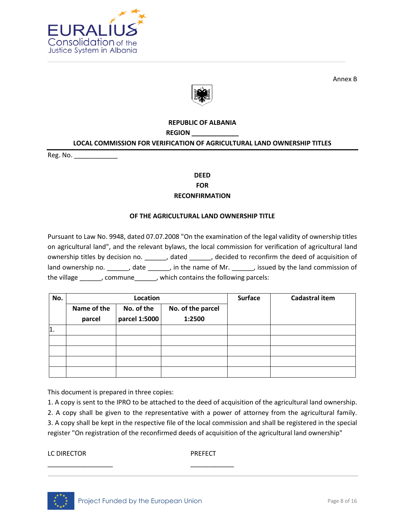

Annex B



#### **REPUBLIC OF ALBANIA**

**REGION \_\_\_\_\_\_\_\_\_\_\_\_\_**

#### **LOCAL COMMISSION FOR VERIFICATION OF AGRICULTURAL LAND OWNERSHIP TITLES**

Reg. No. \_\_\_\_\_\_\_\_\_\_\_\_

## **DEED FOR RECONFIRMATION**

#### **OF THE AGRICULTURAL LAND OWNERSHIP TITLE**

Pursuant to Law No. 9948, dated 07.07.2008 "On the examination of the legal validity of ownership titles on agricultural land", and the relevant bylaws, the local commission for verification of agricultural land ownership titles by decision no. \_\_\_\_\_\_, dated \_\_\_\_\_, decided to reconfirm the deed of acquisition of land ownership no. \_\_\_\_\_\_, date \_\_\_\_\_, in the name of Mr. \_\_\_\_\_, issued by the land commission of the village \_\_\_\_\_\_, commune\_\_\_\_\_\_, which contains the following parcels:

| No.        |                           | Location      |                   | <b>Surface</b> | <b>Cadastral item</b> |  |  |
|------------|---------------------------|---------------|-------------------|----------------|-----------------------|--|--|
|            | Name of the<br>No. of the |               | No. of the parcel |                |                       |  |  |
|            | parcel                    | parcel 1:5000 | 1:2500            |                |                       |  |  |
| $\vert$ 1. |                           |               |                   |                |                       |  |  |
|            |                           |               |                   |                |                       |  |  |
|            |                           |               |                   |                |                       |  |  |
|            |                           |               |                   |                |                       |  |  |
|            |                           |               |                   |                |                       |  |  |

This document is prepared in three copies:

1. A copy is sent to the IPRO to be attached to the deed of acquisition of the agricultural land ownership. 2. A copy shall be given to the representative with a power of attorney from the agricultural family. 3. A copy shall be kept in the respective file of the local commission and shall be registered in the special register "On registration of the reconfirmed deeds of acquisition of the agricultural land ownership"

LC DIRECTOR PREFECT



\_\_\_\_\_\_\_\_\_\_\_\_\_\_\_\_\_\_ \_\_\_\_\_\_\_\_\_\_\_\_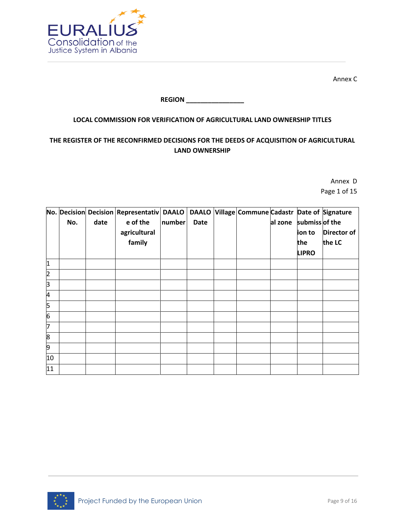

Annex C

## **REGION \_\_\_\_\_\_\_\_\_\_\_\_\_\_\_\_**

## **LOCAL COMMISSION FOR VERIFICATION OF AGRICULTURAL LAND OWNERSHIP TITLES**

## **THE REGISTER OF THE RECONFIRMED DECISIONS FOR THE DEEDS OF ACQUISITION OF AGRICULTURAL LAND OWNERSHIP**

Annex D Page 1 of 15

|                |     |      | No. Decision Decision Representativ DAALO |        |             | DAALO Village Commune Cadastr Date of Signature |         |                |             |
|----------------|-----|------|-------------------------------------------|--------|-------------|-------------------------------------------------|---------|----------------|-------------|
|                | No. | date | e of the                                  | number | <b>Date</b> |                                                 | al zone | submiss of the |             |
|                |     |      | agricultural                              |        |             |                                                 |         | ion to         | Director of |
|                |     |      | family                                    |        |             |                                                 |         | the            | the LC      |
|                |     |      |                                           |        |             |                                                 |         | <b>LIPRO</b>   |             |
| 1              |     |      |                                           |        |             |                                                 |         |                |             |
| $\overline{c}$ |     |      |                                           |        |             |                                                 |         |                |             |
| þ              |     |      |                                           |        |             |                                                 |         |                |             |
| 4              |     |      |                                           |        |             |                                                 |         |                |             |
| 5              |     |      |                                           |        |             |                                                 |         |                |             |
| 6              |     |      |                                           |        |             |                                                 |         |                |             |
| 7              |     |      |                                           |        |             |                                                 |         |                |             |
| 8              |     |      |                                           |        |             |                                                 |         |                |             |
| 9              |     |      |                                           |        |             |                                                 |         |                |             |
| 10             |     |      |                                           |        |             |                                                 |         |                |             |
| 11             |     |      |                                           |        |             |                                                 |         |                |             |

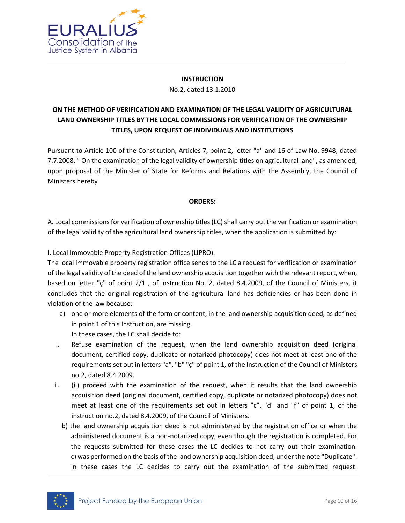

### **INSTRUCTION** No.2, dated 13.1.2010

# **ON THE METHOD OF VERIFICATION AND EXAMINATION OF THE LEGAL VALIDITY OF AGRICULTURAL LAND OWNERSHIP TITLES BY THE LOCAL COMMISSIONS FOR VERIFICATION OF THE OWNERSHIP TITLES, UPON REQUEST OF INDIVIDUALS AND INSTITUTIONS**

Pursuant to Article 100 of the Constitution, Articles 7, point 2, letter "a" and 16 of Law No. 9948, dated 7.7.2008, " On the examination of the legal validity of ownership titles on agricultural land", as amended, upon proposal of the Minister of State for Reforms and Relations with the Assembly, the Council of Ministers hereby

## **ORDERS:**

A. Local commissions for verification of ownership titles (LC) shall carry out the verification or examination of the legal validity of the agricultural land ownership titles, when the application is submitted by:

I. Local Immovable Property Registration Offices (LIPRO).

The local immovable property registration office sends to the LC a request for verification or examination of the legal validity of the deed of the land ownership acquisition together with the relevant report, when, based on letter "ç" of point 2/1 , of Instruction No. 2, dated 8.4.2009, of the Council of Ministers, it concludes that the original registration of the agricultural land has deficiencies or has been done in violation of the law because:

- a) one or more elements of the form or content, in the land ownership acquisition deed, as defined in point 1 of this Instruction, are missing. In these cases, the LC shall decide to:
- i. Refuse examination of the request, when the land ownership acquisition deed (original document, certified copy, duplicate or notarized photocopy) does not meet at least one of the requirements set out in letters "a", "b" "ç" of point 1, of the Instruction of the Council of Ministers no.2, dated 8.4.2009.
- ii. (ii) proceed with the examination of the request, when it results that the land ownership acquisition deed (original document, certified copy, duplicate or notarized photocopy) does not meet at least one of the requirements set out in letters "c", "d" and "f" of point 1, of the instruction no.2, dated 8.4.2009, of the Council of Ministers.
	- b) the land ownership acquisition deed is not administered by the registration office or when the administered document is a non-notarized copy, even though the registration is completed. For the requests submitted for these cases the LC decides to not carry out their examination. c) was performed on the basis of the land ownership acquisition deed, under the note "Duplicate". In these cases the LC decides to carry out the examination of the submitted request.

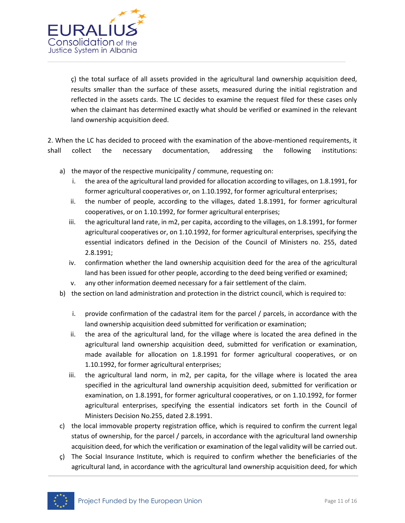

ç) the total surface of all assets provided in the agricultural land ownership acquisition deed, results smaller than the surface of these assets, measured during the initial registration and reflected in the assets cards. The LC decides to examine the request filed for these cases only when the claimant has determined exactly what should be verified or examined in the relevant land ownership acquisition deed.

2. When the LC has decided to proceed with the examination of the above-mentioned requirements, it shall collect the necessary documentation, addressing the following institutions:

- a) the mayor of the respective municipality / commune, requesting on:
	- i. the area of the agricultural land provided for allocation according to villages, on 1.8.1991, for former agricultural cooperatives or, on 1.10.1992, for former agricultural enterprises;
	- ii. the number of people, according to the villages, dated 1.8.1991, for former agricultural cooperatives, or on 1.10.1992, for former agricultural enterprises;
	- iii. the agricultural land rate, in m2, per capita, according to the villages, on 1.8.1991, for former agricultural cooperatives or, on 1.10.1992, for former agricultural enterprises, specifying the essential indicators defined in the Decision of the Council of Ministers no. 255, dated 2.8.1991;
	- iv. confirmation whether the land ownership acquisition deed for the area of the agricultural land has been issued for other people, according to the deed being verified or examined;
	- v. any other information deemed necessary for a fair settlement of the claim.
- b) the section on land administration and protection in the district council, which is required to:
	- i. provide confirmation of the cadastral item for the parcel / parcels, in accordance with the land ownership acquisition deed submitted for verification or examination;
	- ii. the area of the agricultural land, for the village where is located the area defined in the agricultural land ownership acquisition deed, submitted for verification or examination, made available for allocation on 1.8.1991 for former agricultural cooperatives, or on 1.10.1992, for former agricultural enterprises;
	- iii. the agricultural land norm, in m2, per capita, for the village where is located the area specified in the agricultural land ownership acquisition deed, submitted for verification or examination, on 1.8.1991, for former agricultural cooperatives, or on 1.10.1992, for former agricultural enterprises, specifying the essential indicators set forth in the Council of Ministers Decision No.255, dated 2.8.1991.
- c) the local immovable property registration office, which is required to confirm the current legal status of ownership, for the parcel / parcels, in accordance with the agricultural land ownership acquisition deed, for which the verification or examination of the legal validity will be carried out.
- $\zeta$ ) The Social Insurance Institute, which is required to confirm whether the beneficiaries of the agricultural land, in accordance with the agricultural land ownership acquisition deed, for which

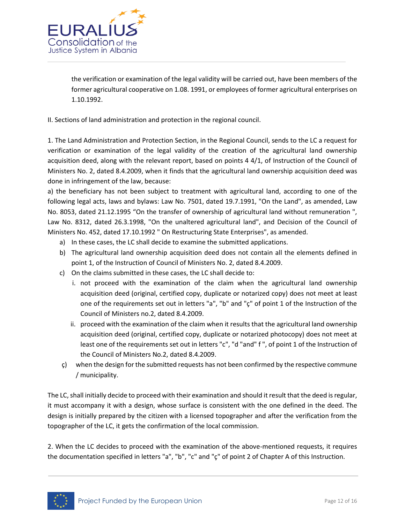

the verification or examination of the legal validity will be carried out, have been members of the former agricultural cooperative on 1.08. 1991, or employees of former agricultural enterprises on 1.10.1992.

II. Sections of land administration and protection in the regional council.

1. The Land Administration and Protection Section, in the Regional Council, sends to the LC a request for verification or examination of the legal validity of the creation of the agricultural land ownership acquisition deed, along with the relevant report, based on points 4 4/1, of Instruction of the Council of Ministers No. 2, dated 8.4.2009, when it finds that the agricultural land ownership acquisition deed was done in infringement of the law, because:

a) the beneficiary has not been subject to treatment with agricultural land, according to one of the following legal acts, laws and bylaws: Law No. 7501, dated 19.7.1991, "On the Land", as amended, Law No. 8053, dated 21.12.1995 "On the transfer of ownership of agricultural land without remuneration ", Law No. 8312, dated 26.3.1998, "On the unaltered agricultural land", and Decision of the Council of Ministers No. 452, dated 17.10.1992 " On Restructuring State Enterprises", as amended.

- a) In these cases, the LC shall decide to examine the submitted applications.
- b) The agricultural land ownership acquisition deed does not contain all the elements defined in point 1, of the Instruction of Council of Ministers No. 2, dated 8.4.2009.
- c) On the claims submitted in these cases, the LC shall decide to:
	- i. not proceed with the examination of the claim when the agricultural land ownership acquisition deed (original, certified copy, duplicate or notarized copy) does not meet at least one of the requirements set out in letters "a", "b" and "ç" of point 1 of the Instruction of the Council of Ministers no.2, dated 8.4.2009.
	- ii. proceed with the examination of the claim when it results that the agricultural land ownership acquisition deed (original, certified copy, duplicate or notarized photocopy) does not meet at least one of the requirements set out in letters "c", "d "and" f ", of point 1 of the Instruction of the Council of Ministers No.2, dated 8.4.2009.
- ç) when the design for the submitted requests has not been confirmed by the respective commune / municipality.

The LC, shall initially decide to proceed with their examination and should it result that the deed is regular, it must accompany it with a design, whose surface is consistent with the one defined in the deed. The design is initially prepared by the citizen with a licensed topographer and after the verification from the topographer of the LC, it gets the confirmation of the local commission.

2. When the LC decides to proceed with the examination of the above-mentioned requests, it requires the documentation specified in letters "a", "b", "c" and "ç" of point 2 of Chapter A of this Instruction.

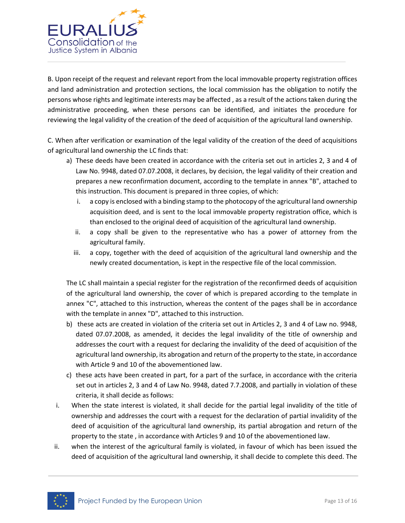

B. Upon receipt of the request and relevant report from the local immovable property registration offices and land administration and protection sections, the local commission has the obligation to notify the persons whose rights and legitimate interests may be affected , as a result of the actions taken during the administrative proceeding, when these persons can be identified, and initiates the procedure for reviewing the legal validity of the creation of the deed of acquisition of the agricultural land ownership.

C. When after verification or examination of the legal validity of the creation of the deed of acquisitions of agricultural land ownership the LC finds that:

- a) These deeds have been created in accordance with the criteria set out in articles 2, 3 and 4 of Law No. 9948, dated 07.07.2008, it declares, by decision, the legal validity of their creation and prepares a new reconfirmation document, according to the template in annex "B", attached to this instruction. This document is prepared in three copies, of which:
	- i. a copy is enclosed with a binding stamp to the photocopy of the agricultural land ownership acquisition deed, and is sent to the local immovable property registration office, which is than enclosed to the original deed of acquisition of the agricultural land ownership.
	- ii. a copy shall be given to the representative who has a power of attorney from the agricultural family.
	- iii. a copy, together with the deed of acquisition of the agricultural land ownership and the newly created documentation, is kept in the respective file of the local commission.

The LC shall maintain a special register for the registration of the reconfirmed deeds of acquisition of the agricultural land ownership, the cover of which is prepared according to the template in annex "C", attached to this instruction, whereas the content of the pages shall be in accordance with the template in annex "D", attached to this instruction.

- b) these acts are created in violation of the criteria set out in Articles 2, 3 and 4 of Law no. 9948, dated 07.07.2008, as amended, it decides the legal invalidity of the title of ownership and addresses the court with a request for declaring the invalidity of the deed of acquisition of the agricultural land ownership, its abrogation and return of the property to the state, in accordance with Article 9 and 10 of the abovementioned law.
- c) these acts have been created in part, for a part of the surface, in accordance with the criteria set out in articles 2, 3 and 4 of Law No. 9948, dated 7.7.2008, and partially in violation of these criteria, it shall decide as follows:
- i. When the state interest is violated, it shall decide for the partial legal invalidity of the title of ownership and addresses the court with a request for the declaration of partial invalidity of the deed of acquisition of the agricultural land ownership, its partial abrogation and return of the property to the state , in accordance with Articles 9 and 10 of the abovementioned law.
- ii. when the interest of the agricultural family is violated, in favour of which has been issued the deed of acquisition of the agricultural land ownership, it shall decide to complete this deed. The

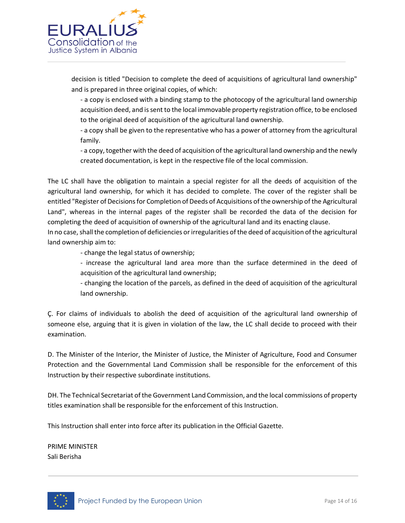

decision is titled "Decision to complete the deed of acquisitions of agricultural land ownership" and is prepared in three original copies, of which:

- a copy is enclosed with a binding stamp to the photocopy of the agricultural land ownership acquisition deed, and is sent to the local immovable property registration office, to be enclosed to the original deed of acquisition of the agricultural land ownership.

- a copy shall be given to the representative who has a power of attorney from the agricultural family.

- a copy, together with the deed of acquisition of the agricultural land ownership and the newly created documentation, is kept in the respective file of the local commission.

The LC shall have the obligation to maintain a special register for all the deeds of acquisition of the agricultural land ownership, for which it has decided to complete. The cover of the register shall be entitled "Register of Decisions for Completion of Deeds of Acquisitions of the ownership of the Agricultural Land", whereas in the internal pages of the register shall be recorded the data of the decision for completing the deed of acquisition of ownership of the agricultural land and its enacting clause.

In no case, shall the completion of deficiencies or irregularities of the deed of acquisition of the agricultural land ownership aim to:

- change the legal status of ownership;

- increase the agricultural land area more than the surface determined in the deed of acquisition of the agricultural land ownership;

- changing the location of the parcels, as defined in the deed of acquisition of the agricultural land ownership.

Ç. For claims of individuals to abolish the deed of acquisition of the agricultural land ownership of someone else, arguing that it is given in violation of the law, the LC shall decide to proceed with their examination.

D. The Minister of the Interior, the Minister of Justice, the Minister of Agriculture, Food and Consumer Protection and the Governmental Land Commission shall be responsible for the enforcement of this Instruction by their respective subordinate institutions.

DH. The Technical Secretariat of the Government Land Commission, and the local commissions of property titles examination shall be responsible for the enforcement of this Instruction.

This Instruction shall enter into force after its publication in the Official Gazette.

PRIME MINISTER Sali Berisha

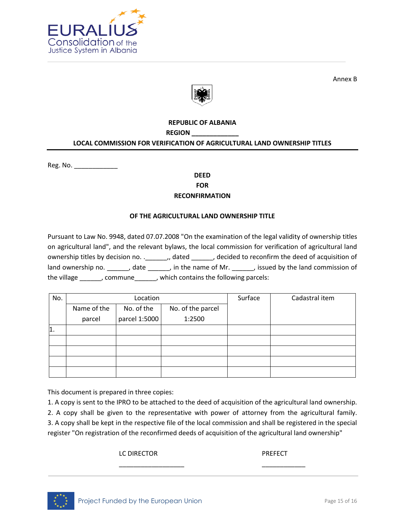

Annex B



## **REPUBLIC OF ALBANIA REGION \_\_\_\_\_\_\_\_\_\_\_\_\_ LOCAL COMMISSION FOR VERIFICATION OF AGRICULTURAL LAND OWNERSHIP TITLES**

Reg. No. \_\_\_\_\_\_\_\_\_\_\_\_

## **DEED FOR RECONFIRMATION**

## **OF THE AGRICULTURAL LAND OWNERSHIP TITLE**

Pursuant to Law No. 9948, dated 07.07.2008 "On the examination of the legal validity of ownership titles on agricultural land", and the relevant bylaws, the local commission for verification of agricultural land ownership titles by decision no. .\_\_\_\_\_\_\_,, dated \_\_\_\_\_\_\_, decided to reconfirm the deed of acquisition of land ownership no. \_\_\_\_\_\_, date \_\_\_\_\_\_, in the name of Mr. \_\_\_\_\_\_, issued by the land commission of the village \_\_\_\_\_\_, commune\_\_\_\_\_\_, which contains the following parcels:

| No.        |                           | Location      |                   | Surface | Cadastral item |  |  |
|------------|---------------------------|---------------|-------------------|---------|----------------|--|--|
|            | No. of the<br>Name of the |               | No. of the parcel |         |                |  |  |
|            | parcel                    | parcel 1:5000 | 1:2500            |         |                |  |  |
| $\vert$ 1. |                           |               |                   |         |                |  |  |
|            |                           |               |                   |         |                |  |  |
|            |                           |               |                   |         |                |  |  |
|            |                           |               |                   |         |                |  |  |
|            |                           |               |                   |         |                |  |  |

This document is prepared in three copies:

1. A copy is sent to the IPRO to be attached to the deed of acquisition of the agricultural land ownership. 2. A copy shall be given to the representative with power of attorney from the agricultural family. 3. A copy shall be kept in the respective file of the local commission and shall be registered in the special register "On registration of the reconfirmed deeds of acquisition of the agricultural land ownership"

\_\_\_\_\_\_\_\_\_\_\_\_\_\_\_\_\_\_ \_\_\_\_\_\_\_\_\_\_\_\_

LC DIRECTOR PREFECT